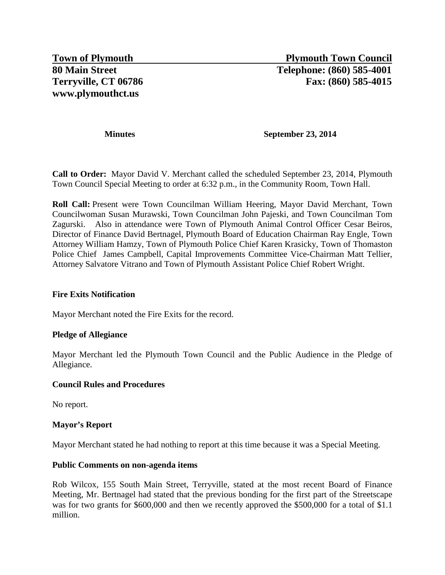## **Minutes September 23, 2014**

**Call to Order:** Mayor David V. Merchant called the scheduled September 23, 2014, Plymouth Town Council Special Meeting to order at 6:32 p.m., in the Community Room, Town Hall.

**Roll Call:** Present were Town Councilman William Heering, Mayor David Merchant, Town Councilwoman Susan Murawski, Town Councilman John Pajeski, and Town Councilman Tom Zagurski. Also in attendance were Town of Plymouth Animal Control Officer Cesar Beiros, Director of Finance David Bertnagel, Plymouth Board of Education Chairman Ray Engle, Town Attorney William Hamzy, Town of Plymouth Police Chief Karen Krasicky, Town of Thomaston Police Chief James Campbell, Capital Improvements Committee Vice-Chairman Matt Tellier, Attorney Salvatore Vitrano and Town of Plymouth Assistant Police Chief Robert Wright.

## **Fire Exits Notification**

Mayor Merchant noted the Fire Exits for the record.

## **Pledge of Allegiance**

Mayor Merchant led the Plymouth Town Council and the Public Audience in the Pledge of Allegiance.

#### **Council Rules and Procedures**

No report.

## **Mayor's Report**

Mayor Merchant stated he had nothing to report at this time because it was a Special Meeting.

#### **Public Comments on non-agenda items**

Rob Wilcox, 155 South Main Street, Terryville, stated at the most recent Board of Finance Meeting, Mr. Bertnagel had stated that the previous bonding for the first part of the Streetscape was for two grants for \$600,000 and then we recently approved the \$500,000 for a total of \$1.1 million.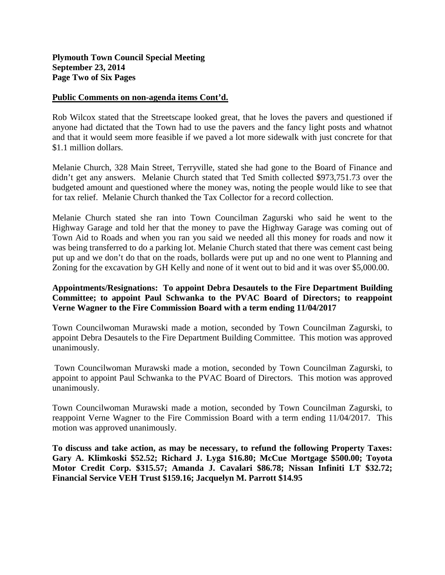# **Plymouth Town Council Special Meeting September 23, 2014 Page Two of Six Pages**

#### **Public Comments on non-agenda items Cont'd.**

Rob Wilcox stated that the Streetscape looked great, that he loves the pavers and questioned if anyone had dictated that the Town had to use the pavers and the fancy light posts and whatnot and that it would seem more feasible if we paved a lot more sidewalk with just concrete for that \$1.1 million dollars.

Melanie Church, 328 Main Street, Terryville, stated she had gone to the Board of Finance and didn't get any answers. Melanie Church stated that Ted Smith collected \$973,751.73 over the budgeted amount and questioned where the money was, noting the people would like to see that for tax relief. Melanie Church thanked the Tax Collector for a record collection.

Melanie Church stated she ran into Town Councilman Zagurski who said he went to the Highway Garage and told her that the money to pave the Highway Garage was coming out of Town Aid to Roads and when you ran you said we needed all this money for roads and now it was being transferred to do a parking lot. Melanie Church stated that there was cement cast being put up and we don't do that on the roads, bollards were put up and no one went to Planning and Zoning for the excavation by GH Kelly and none of it went out to bid and it was over \$5,000.00.

# **Appointments/Resignations: To appoint Debra Desautels to the Fire Department Building Committee; to appoint Paul Schwanka to the PVAC Board of Directors; to reappoint Verne Wagner to the Fire Commission Board with a term ending 11/04/2017**

Town Councilwoman Murawski made a motion, seconded by Town Councilman Zagurski, to appoint Debra Desautels to the Fire Department Building Committee. This motion was approved unanimously.

Town Councilwoman Murawski made a motion, seconded by Town Councilman Zagurski, to appoint to appoint Paul Schwanka to the PVAC Board of Directors. This motion was approved unanimously.

Town Councilwoman Murawski made a motion, seconded by Town Councilman Zagurski, to reappoint Verne Wagner to the Fire Commission Board with a term ending 11/04/2017. This motion was approved unanimously.

**To discuss and take action, as may be necessary, to refund the following Property Taxes: Gary A. Klimkoski \$52.52; Richard J. Lyga \$16.80; McCue Mortgage \$500.00; Toyota Motor Credit Corp. \$315.57; Amanda J. Cavalari \$86.78; Nissan Infiniti LT \$32.72; Financial Service VEH Trust \$159.16; Jacquelyn M. Parrott \$14.95**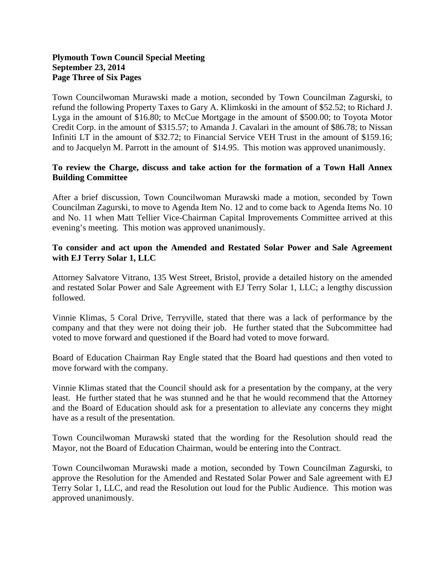# **Plymouth Town Council Special Meeting September 23, 2014 Page Three of Six Pages**

Town Councilwoman Murawski made a motion, seconded by Town Councilman Zagurski, to refund the following Property Taxes to Gary A. Klimkoski in the amount of \$52.52; to Richard J. Lyga in the amount of \$16.80; to McCue Mortgage in the amount of \$500.00; to Toyota Motor Credit Corp. in the amount of \$315.57; to Amanda J. Cavalari in the amount of \$86.78; to Nissan Infiniti LT in the amount of \$32.72; to Financial Service VEH Trust in the amount of \$159.16; and to Jacquelyn M. Parrott in the amount of \$14.95. This motion was approved unanimously.

# **To review the Charge, discuss and take action for the formation of a Town Hall Annex Building Committee**

After a brief discussion, Town Councilwoman Murawski made a motion, seconded by Town Councilman Zagurski, to move to Agenda Item No. 12 and to come back to Agenda Items No. 10 and No. 11 when Matt Tellier Vice-Chairman Capital Improvements Committee arrived at this evening's meeting. This motion was approved unanimously.

# **To consider and act upon the Amended and Restated Solar Power and Sale Agreement with EJ Terry Solar 1, LLC**

Attorney Salvatore Vitrano, 135 West Street, Bristol, provide a detailed history on the amended and restated Solar Power and Sale Agreement with EJ Terry Solar 1, LLC; a lengthy discussion followed.

Vinnie Klimas, 5 Coral Drive, Terryville, stated that there was a lack of performance by the company and that they were not doing their job. He further stated that the Subcommittee had voted to move forward and questioned if the Board had voted to move forward.

Board of Education Chairman Ray Engle stated that the Board had questions and then voted to move forward with the company.

Vinnie Klimas stated that the Council should ask for a presentation by the company, at the very least. He further stated that he was stunned and he that he would recommend that the Attorney and the Board of Education should ask for a presentation to alleviate any concerns they might have as a result of the presentation.

Town Councilwoman Murawski stated that the wording for the Resolution should read the Mayor, not the Board of Education Chairman, would be entering into the Contract.

Town Councilwoman Murawski made a motion, seconded by Town Councilman Zagurski, to approve the Resolution for the Amended and Restated Solar Power and Sale agreement with EJ Terry Solar 1, LLC, and read the Resolution out loud for the Public Audience. This motion was approved unanimously.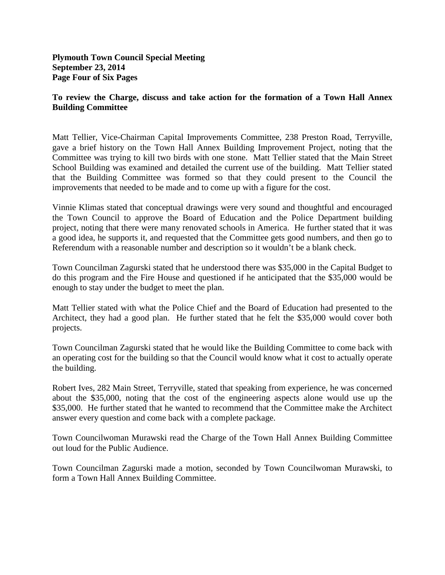**Plymouth Town Council Special Meeting September 23, 2014 Page Four of Six Pages**

## **To review the Charge, discuss and take action for the formation of a Town Hall Annex Building Committee**

Matt Tellier, Vice-Chairman Capital Improvements Committee, 238 Preston Road, Terryville, gave a brief history on the Town Hall Annex Building Improvement Project, noting that the Committee was trying to kill two birds with one stone. Matt Tellier stated that the Main Street School Building was examined and detailed the current use of the building. Matt Tellier stated that the Building Committee was formed so that they could present to the Council the improvements that needed to be made and to come up with a figure for the cost.

Vinnie Klimas stated that conceptual drawings were very sound and thoughtful and encouraged the Town Council to approve the Board of Education and the Police Department building project, noting that there were many renovated schools in America. He further stated that it was a good idea, he supports it, and requested that the Committee gets good numbers, and then go to Referendum with a reasonable number and description so it wouldn't be a blank check.

Town Councilman Zagurski stated that he understood there was \$35,000 in the Capital Budget to do this program and the Fire House and questioned if he anticipated that the \$35,000 would be enough to stay under the budget to meet the plan.

Matt Tellier stated with what the Police Chief and the Board of Education had presented to the Architect, they had a good plan. He further stated that he felt the \$35,000 would cover both projects.

Town Councilman Zagurski stated that he would like the Building Committee to come back with an operating cost for the building so that the Council would know what it cost to actually operate the building.

Robert Ives, 282 Main Street, Terryville, stated that speaking from experience, he was concerned about the \$35,000, noting that the cost of the engineering aspects alone would use up the \$35,000. He further stated that he wanted to recommend that the Committee make the Architect answer every question and come back with a complete package.

Town Councilwoman Murawski read the Charge of the Town Hall Annex Building Committee out loud for the Public Audience.

Town Councilman Zagurski made a motion, seconded by Town Councilwoman Murawski, to form a Town Hall Annex Building Committee.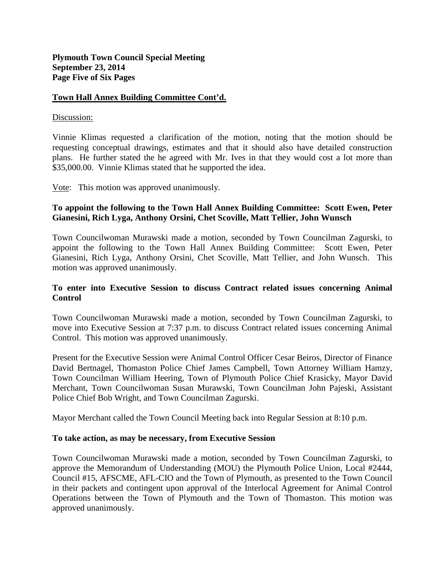## **Town Hall Annex Building Committee Cont'd.**

#### Discussion:

Vinnie Klimas requested a clarification of the motion, noting that the motion should be requesting conceptual drawings, estimates and that it should also have detailed construction plans. He further stated the he agreed with Mr. Ives in that they would cost a lot more than \$35,000.00. Vinnie Klimas stated that he supported the idea.

Vote: This motion was approved unanimously.

## **To appoint the following to the Town Hall Annex Building Committee: Scott Ewen, Peter Gianesini, Rich Lyga, Anthony Orsini, Chet Scoville, Matt Tellier, John Wunsch**

Town Councilwoman Murawski made a motion, seconded by Town Councilman Zagurski, to appoint the following to the Town Hall Annex Building Committee: Scott Ewen, Peter Gianesini, Rich Lyga, Anthony Orsini, Chet Scoville, Matt Tellier, and John Wunsch. This motion was approved unanimously.

# **To enter into Executive Session to discuss Contract related issues concerning Animal Control**

Town Councilwoman Murawski made a motion, seconded by Town Councilman Zagurski, to move into Executive Session at 7:37 p.m. to discuss Contract related issues concerning Animal Control. This motion was approved unanimously.

Present for the Executive Session were Animal Control Officer Cesar Beiros, Director of Finance David Bertnagel, Thomaston Police Chief James Campbell, Town Attorney William Hamzy, Town Councilman William Heering, Town of Plymouth Police Chief Krasicky, Mayor David Merchant, Town Councilwoman Susan Murawski, Town Councilman John Pajeski, Assistant Police Chief Bob Wright, and Town Councilman Zagurski.

Mayor Merchant called the Town Council Meeting back into Regular Session at 8:10 p.m.

#### **To take action, as may be necessary, from Executive Session**

Town Councilwoman Murawski made a motion, seconded by Town Councilman Zagurski, to approve the Memorandum of Understanding (MOU) the Plymouth Police Union, Local #2444, Council #15, AFSCME, AFL-CIO and the Town of Plymouth, as presented to the Town Council in their packets and contingent upon approval of the Interlocal Agreement for Animal Control Operations between the Town of Plymouth and the Town of Thomaston. This motion was approved unanimously.